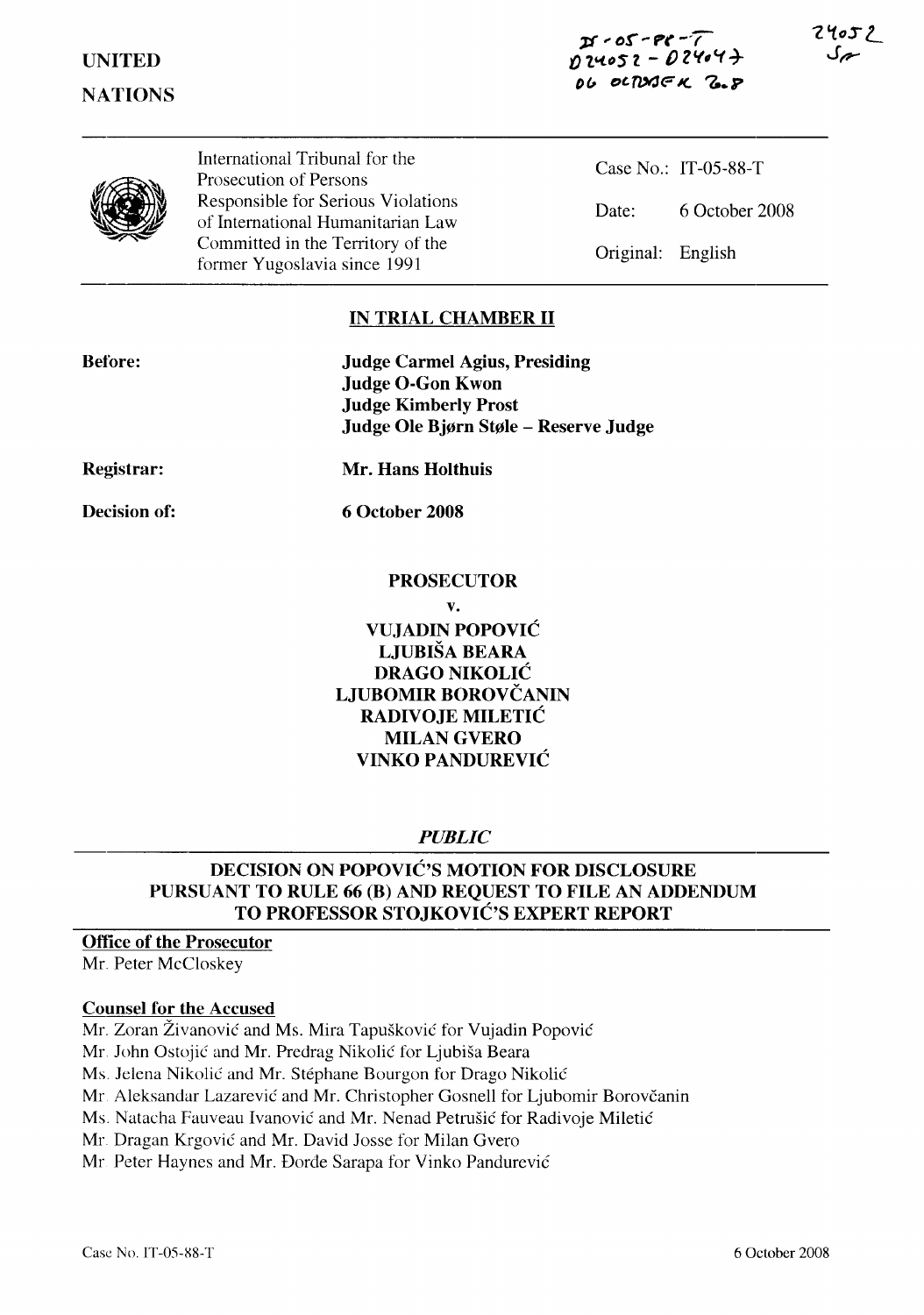24052



International Tribunal for the Prosecution of Persons Responsible for Serious Violations of International Humanitarian Law Committed in the Territory of the former Yugoslavia since 1991

Case No.: IT-05-88-T Date: 6 October 2008 Original: English

# **IN TRIAL CHAMBER II**

| <b>Before:</b> |  |
|----------------|--|
|                |  |

**Judge Carmei Agius, Presiding Judge O-Gon Kwon Judge Kimberly Prost Judge Ole** Bjern Stale **- Reserve Judge**

**Registrar:**

**Decision of:**

**Mr. Hans Holthuis**

**6 October 2008**

## **PROSECUTOR**

**v.**

**VUJADIN** POPOVIĆ **LJUBIŠA BEARA DRAGO** NIKOLIĆ **LJUBOMIR** BOROVČANIN **RADIVOJE** MILETIĆ MILAN GVERO **VINKO** PANDUREVIĆ

*PUBLIC*

## **DECISION ON** POPOVIĆ'S **MOTION FOR DISCLOSURE PURSUANT TO RULE 66 (B) AND REQUEST TO FILE AN ADDENDUM TO PROFESSOR** STOJKOVIĆ'S**EXPERT REPORT**

## **Office of the Prosecutor**

Mr. Peter McCloskey

#### **Counsel for the Accused**

Mr. Zoran Živanović and Ms. Mira Tapušković for Vujadin Popović

Mr. John Ostojić and Mr. Predrag Nikolić for Ljubiša Beara

Ms. Jelena Nikolić and Mr. Stephane Bourgon for Drago Nikolić

Mr Aleksandar Lazarević and Mr. Christopher Gosnell for Ljubomir Borovčanin

Ms. Natacha Fauveau Ivanović and Mr. Nenad Petrušić for Radivoje Miletić

Mr. Dragan Krgović and Mr. David Josse for Milan Gvero

Mr Peter Haynes and Mr. Đorđe Sarapa for Vinko Pandurević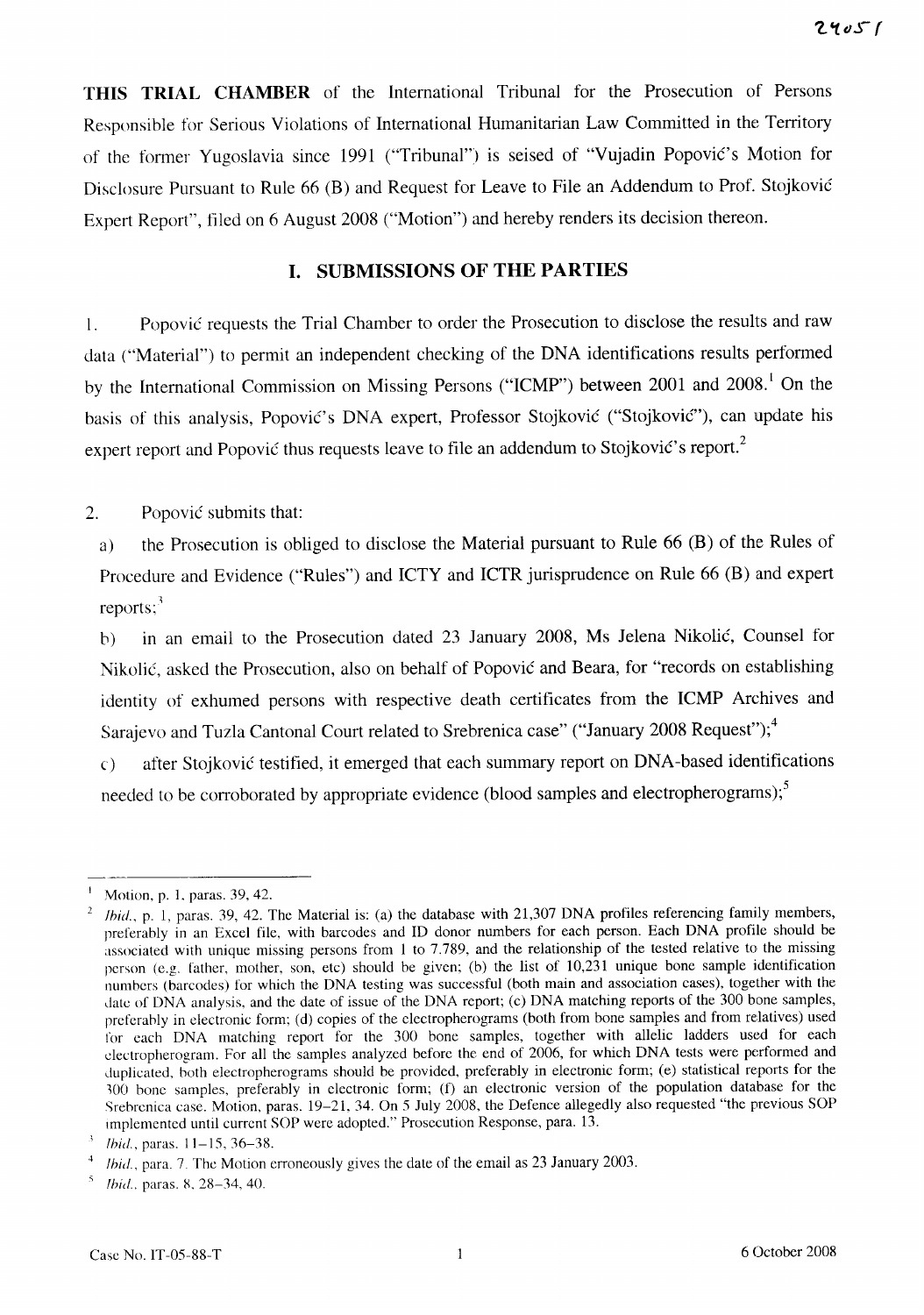THIS TRIAL CHAMBER of the International Tribunal for the Prosecution of Persons Responsible for Serious Violations of International Humanitarian Law Committed in the Territory of the former Yugoslavia since 1991 ("Tribunal") is seised of "Vujadin Popović's Motion for Disclosure Pursuant to Rule 66 (B) and Request for Leave to File an Addendum to Prof. Stojković Expert Report", filed on 6 August 2008 ("Motion") and hereby renders its decision thereon.

#### I. SUBMISSIONS OF THE PARTIES

Popović requests the Trial Chamber to order the Prosecution to disclose the results and raw  $1.$ data ("Material") to permit an independent checking of the DNA identifications results performed by the International Commission on Missing Persons ("ICMP") between 2001 and 2008.<sup>1</sup> On the basis of this analysis, Popović's DNA expert, Professor Stojković ("Stojković"), can update his expert report and Popović thus requests leave to file an addendum to Stojković's report.<sup>2</sup>

#### Popović submits that:  $2.$

the Prosecution is obliged to disclose the Material pursuant to Rule 66 (B) of the Rules of  $a)$ Procedure and Evidence ("Rules") and ICTY and ICTR jurisprudence on Rule 66 (B) and expert reports; $3$ 

in an email to the Prosecution dated 23 January 2008, Ms Jelena Nikolić, Counsel for  $b)$ Nikolić, asked the Prosecution, also on behalf of Popović and Beara, for "records on establishing identity of exhumed persons with respective death certificates from the ICMP Archives and Sarajevo and Tuzla Cantonal Court related to Srebrenica case" ("January 2008 Request");<sup>4</sup>

after Stojković testified, it emerged that each summary report on DNA-based identifications  $\mathcal{C}$ ) needed to be corroborated by appropriate evidence (blood samples and electropherograms);<sup>5</sup>

Motion, p. 1, paras. 39, 42.

Ibid., p. 1, paras. 39, 42. The Material is: (a) the database with 21,307 DNA profiles referencing family members, preferably in an Excel file, with barcodes and ID donor numbers for each person. Each DNA profile should be associated with unique missing persons from 1 to 7.789, and the relationship of the tested relative to the missing person (e.g. father, mother, son, etc) should be given; (b) the list of 10,231 unique bone sample identification numbers (barcodes) for which the DNA testing was successful (both main and association cases), together with the date of DNA analysis, and the date of issue of the DNA report; (c) DNA matching reports of the 300 bone samples, preferably in electronic form; (d) copies of the electropherograms (both from bone samples and from relatives) used for each DNA matching report for the 300 bone samples, together with allelic ladders used for each electropherogram. For all the samples analyzed before the end of 2006, for which DNA tests were performed and duplicated, both electropherograms should be provided, preferably in electronic form; (e) statistical reports for the 300 bone samples, preferably in electronic form; (f) an electronic version of the population database for the Srebrenica case. Motion, paras. 19-21, 34. On 5 July 2008, the Defence allegedly also requested "the previous SOP implemented until current SOP were adopted." Prosecution Response, para. 13.

Ibid., paras. 11-15, 36-38.

*Ibid.*, para. 7. The Motion erroneously gives the date of the email as 23 January 2003.

*Ibid.*, paras. 8, 28–34, 40.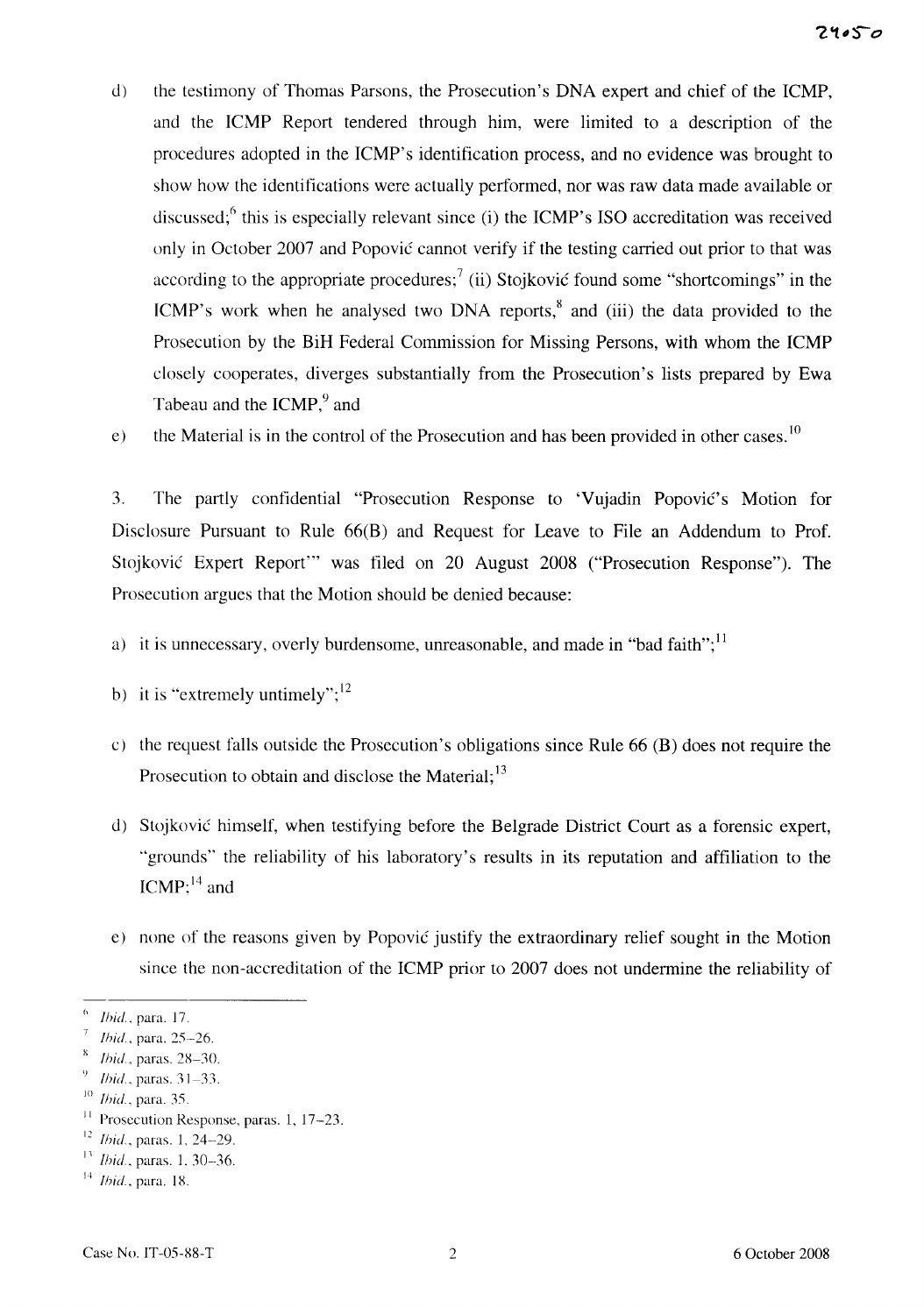the testimony of Thomas Parsons, the Prosecution's DNA expert and chief of the ICMP,  $d)$ and the ICMP Report tendered through him, were limited to a description of the procedures adopted in the ICMP's identification process, and no evidence was brought to show how the identifications were actually performed, nor was raw data made available or discussed;<sup>6</sup> this is especially relevant since (i) the ICMP's ISO accreditation was received only in October 2007 and Popović cannot verify if the testing carried out prior to that was according to the appropriate procedures; (ii) Stojković found some "shortcomings" in the ICMP's work when he analysed two DNA reports,<sup>8</sup> and (iii) the data provided to the Prosecution by the BiH Federal Commission for Missing Persons, with whom the ICMP closely cooperates, diverges substantially from the Prosecution's lists prepared by Ewa Tabeau and the ICMP.<sup>9</sup> and

the Material is in the control of the Prosecution and has been provided in other cases.<sup>10</sup>  $e)$ 

3. The partly confidential "Prosecution Response to 'Vujadin Popović's Motion for Disclosure Pursuant to Rule 66(B) and Request for Leave to File an Addendum to Prof. Stojković Expert Report" was filed on 20 August 2008 ("Prosecution Response"). The Prosecution argues that the Motion should be denied because:

- a) it is unnecessary, overly burdensome, unreasonable, and made in "bad faith";  $^{11}$
- b) it is "extremely untimely";  $^{12}$
- c) the request falls outside the Prosecution's obligations since Rule  $66$  (B) does not require the Prosecution to obtain and disclose the Material;<sup>13</sup>
- d) Stojković himself, when testifying before the Belgrade District Court as a forensic expert, "grounds" the reliability of his laboratory's results in its reputation and affiliation to the  $ICMP$ ;  $^{14}$  and
- e) none of the reasons given by Popović justify the extraordinary relief sought in the Motion since the non-accreditation of the ICMP prior to 2007 does not undermine the reliability of

Ibid., para. 17.

Ibid., para. 25-26.

 $\,$  8 Ibid., paras. 28-30.

*Ibid.*, paras. 31-33.

 $10$  Ibid., para. 35.

<sup>&</sup>lt;sup>11</sup> Prosecution Response, paras. 1, 17-23.

<sup>&</sup>lt;sup>12</sup> *Ibid.*, paras. 1, 24-29.

<sup>&</sup>lt;sup>13</sup> *Ibid.*, paras. 1, 30-36.

 $14$  *Ibid.*, para. 18.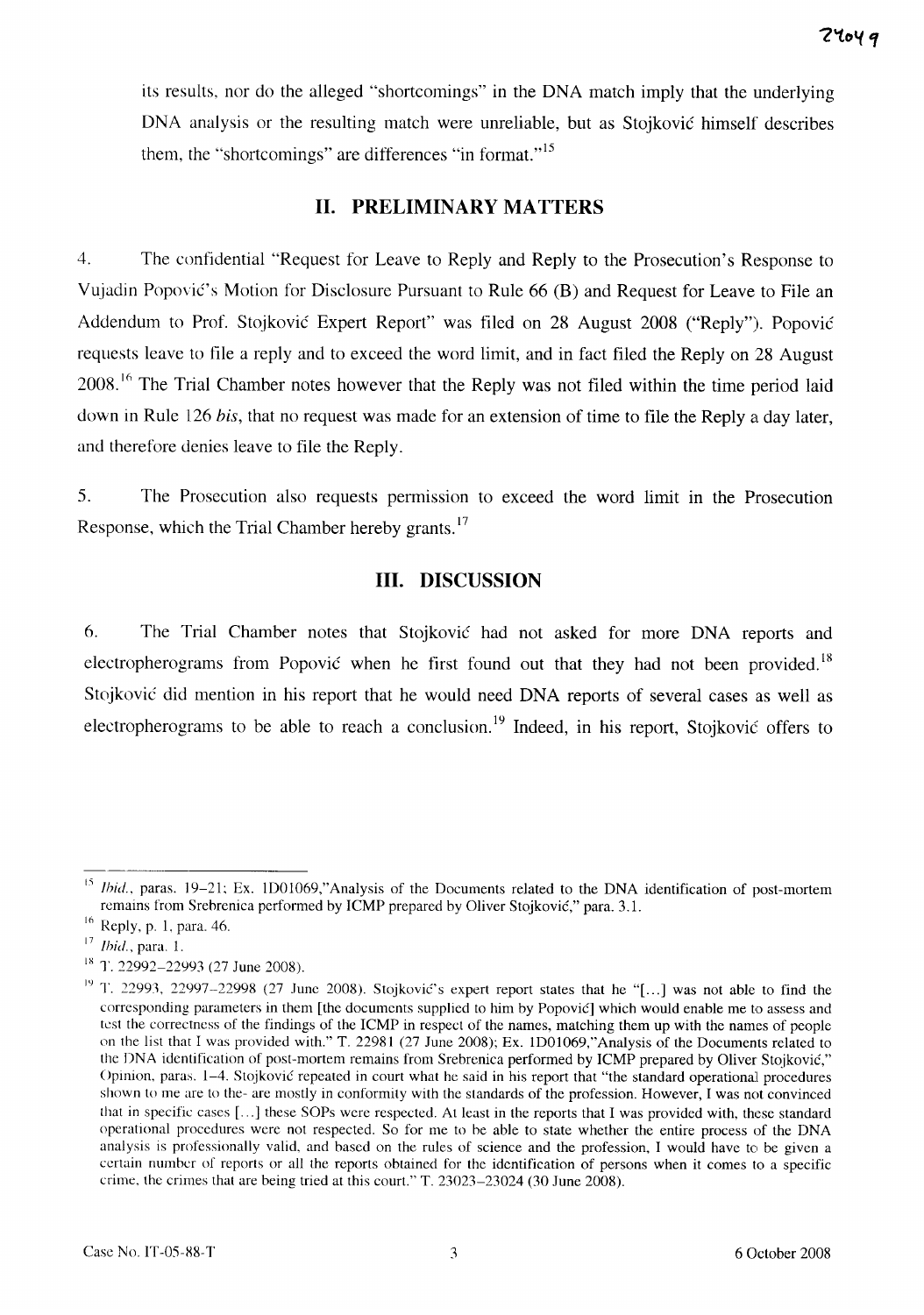its results, nor do the alleged "shortcomings" in the DNA match imply that the underlying DNA analysis or the resulting match were unreliable, but as Stojković himself describes them, the "shortcomings" are differences "in format."<sup>15</sup>

## II. PRELIMINARY MATTERS

 $\overline{4}$ . The confidential "Request for Leave to Reply and Reply to the Prosecution's Response to Vujadin Popović's Motion for Disclosure Pursuant to Rule 66 (B) and Request for Leave to File an Addendum to Prof. Stojković Expert Report" was filed on 28 August 2008 ("Reply"). Popović requests leave to file a reply and to exceed the word limit, and in fact filed the Reply on 28 August 2008.<sup>16</sup> The Trial Chamber notes however that the Reply was not filed within the time period laid down in Rule 126 bis, that no request was made for an extension of time to file the Reply a day later, and therefore denies leave to file the Reply.

5. The Prosecution also requests permission to exceed the word limit in the Prosecution Response, which the Trial Chamber hereby grants.<sup>17</sup>

### **III. DISCUSSION**

6. The Trial Chamber notes that Stojković had not asked for more DNA reports and electropherograms from Popović when he first found out that they had not been provided.<sup>18</sup> Stojković did mention in his report that he would need DNA reports of several cases as well as electropherograms to be able to reach a conclusion.<sup>19</sup> Indeed, in his report. Stoiković offers to

<sup>&</sup>lt;sup>15</sup> Ibid., paras. 19-21; Ex. 1D01069,"Analysis of the Documents related to the DNA identification of post-mortem remains from Srebrenica performed by ICMP prepared by Oliver Stojković," para. 3.1.

 $16$  Reply, p. 1, para. 46.

 $17$  *Ibid.*, para. 1.

<sup>&</sup>lt;sup>18</sup> T. 22992-22993 (27 June 2008).

<sup>&</sup>lt;sup>19</sup> T. 22993, 22997-22998 (27 June 2008). Stojković's expert report states that he "[...] was not able to find the corresponding parameters in them [the documents supplied to him by Popović] which would enable me to assess and test the correctness of the findings of the ICMP in respect of the names, matching them up with the names of people on the list that I was provided with." T. 22981 (27 June 2008); Ex. 1D01069,"Analysis of the Documents related to the DNA identification of post-mortem remains from Srebrenica performed by ICMP prepared by Oliver Stojković." Opinion, paras. 1–4. Stojković repeated in court what he said in his report that "the standard operational procedures shown to me are to the- are mostly in conformity with the standards of the profession. However, I was not convinced that in specific cases [...] these SOPs were respected. At least in the reports that I was provided with, these standard operational procedures were not respected. So for me to be able to state whether the entire process of the DNA analysis is professionally valid, and based on the rules of science and the profession, I would have to be given a certain number of reports or all the reports obtained for the identification of persons when it comes to a specific crime, the crimes that are being tried at this court." T. 23023–23024 (30 June 2008).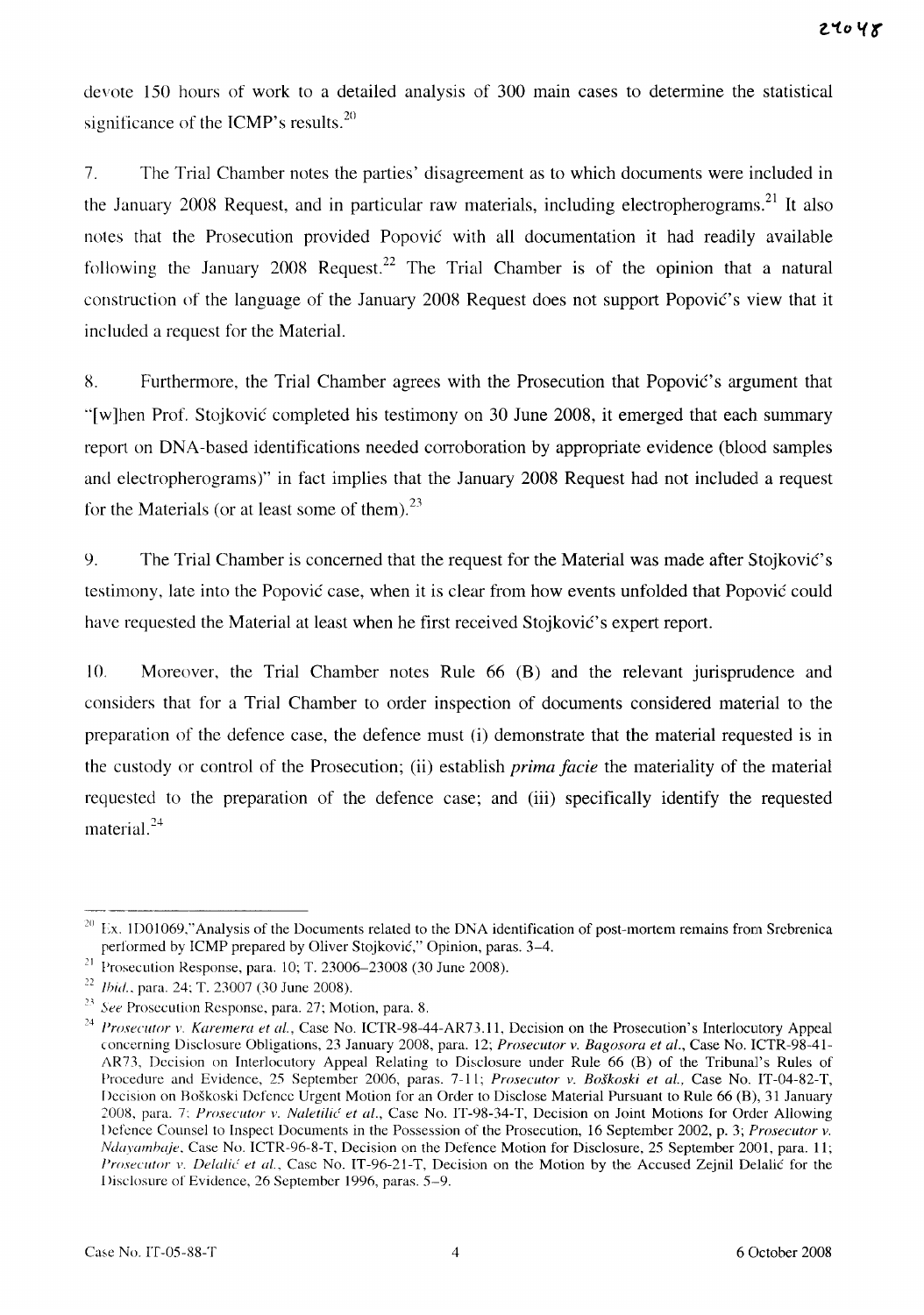devote 150 hours of work to a detailed analysis of 300 main cases to determine the statistical significance of the ICMP's results. $20$ 

 $7.$ The Trial Chamber notes the parties' disagreement as to which documents were included in the January 2008 Request, and in particular raw materials, including electropherograms.<sup>21</sup> It also notes that the Prosecution provided Popović with all documentation it had readily available following the January 2008 Request.<sup>22</sup> The Trial Chamber is of the opinion that a natural construction of the language of the January 2008 Request does not support Popović's view that it included a request for the Material.

8. Furthermore, the Trial Chamber agrees with the Prosecution that Popović's argument that "[w]hen Prof. Stojković completed his testimony on 30 June 2008, it emerged that each summary report on DNA-based identifications needed corroboration by appropriate evidence (blood samples and electropherograms)" in fact implies that the January 2008 Request had not included a request for the Materials (or at least some of them). $^{23}$ 

9. The Trial Chamber is concerned that the request for the Material was made after Stojković's testimony, late into the Popović case, when it is clear from how events unfolded that Popović could have requested the Material at least when he first received Stojković's expert report.

 $10<sub>1</sub>$ Moreover, the Trial Chamber notes Rule 66 (B) and the relevant jurisprudence and considers that for a Trial Chamber to order inspection of documents considered material to the preparation of the defence case, the defence must (i) demonstrate that the material requested is in the custody or control of the Prosecution; (ii) establish *prima facie* the materiality of the material requested to the preparation of the defence case; and (iii) specifically identify the requested material. $^{24}$ 

 $^{20}$  Ex. 1D01069,"Analysis of the Documents related to the DNA identification of post-mortem remains from Srebrenica performed by ICMP prepared by Oliver Stojković," Opinion, paras. 3-4.

<sup>&</sup>lt;sup>21</sup> Prosecution Response, para. 10; T. 23006–23008 (30 June 2008).

<sup>&</sup>lt;sup>22</sup> *Ibid.*, para. 24; T. 23007 (30 June 2008).

<sup>&</sup>lt;sup>23</sup> See Prosecution Response, para. 27; Motion, para. 8.

<sup>&</sup>lt;sup>24</sup> Prosecutor v. Karemera et al., Case No. ICTR-98-44-AR73.11, Decision on the Prosecution's Interlocutory Appeal concerning Disclosure Obligations, 23 January 2008, para. 12; Prosecutor v. Bagosora et al., Case No. ICTR-98-41-AR73, Decision on Interlocutory Appeal Relating to Disclosure under Rule 66 (B) of the Tribunal's Rules of Procedure and Evidence, 25 September 2006, paras. 7-11; Prosecutor v. Boškoski et al., Case No. IT-04-82-T, Decision on Boškoski Defence Urgent Motion for an Order to Disclose Material Pursuant to Rule 66 (B), 31 January 2008, para. 7; Prosecutor v. Naletilić et al., Case No. IT-98-34-T, Decision on Joint Motions for Order Allowing Defence Counsel to Inspect Documents in the Possession of the Prosecution, 16 September 2002, p. 3; Prosecutor v. Ndayambaje, Case No. ICTR-96-8-T, Decision on the Defence Motion for Disclosure, 25 September 2001, para. 11; Prosecutor v. Delalić et al., Case No. IT-96-21-T, Decision on the Motion by the Accused Zejnil Delalić for the Disclosure of Evidence, 26 September 1996, paras. 5–9.